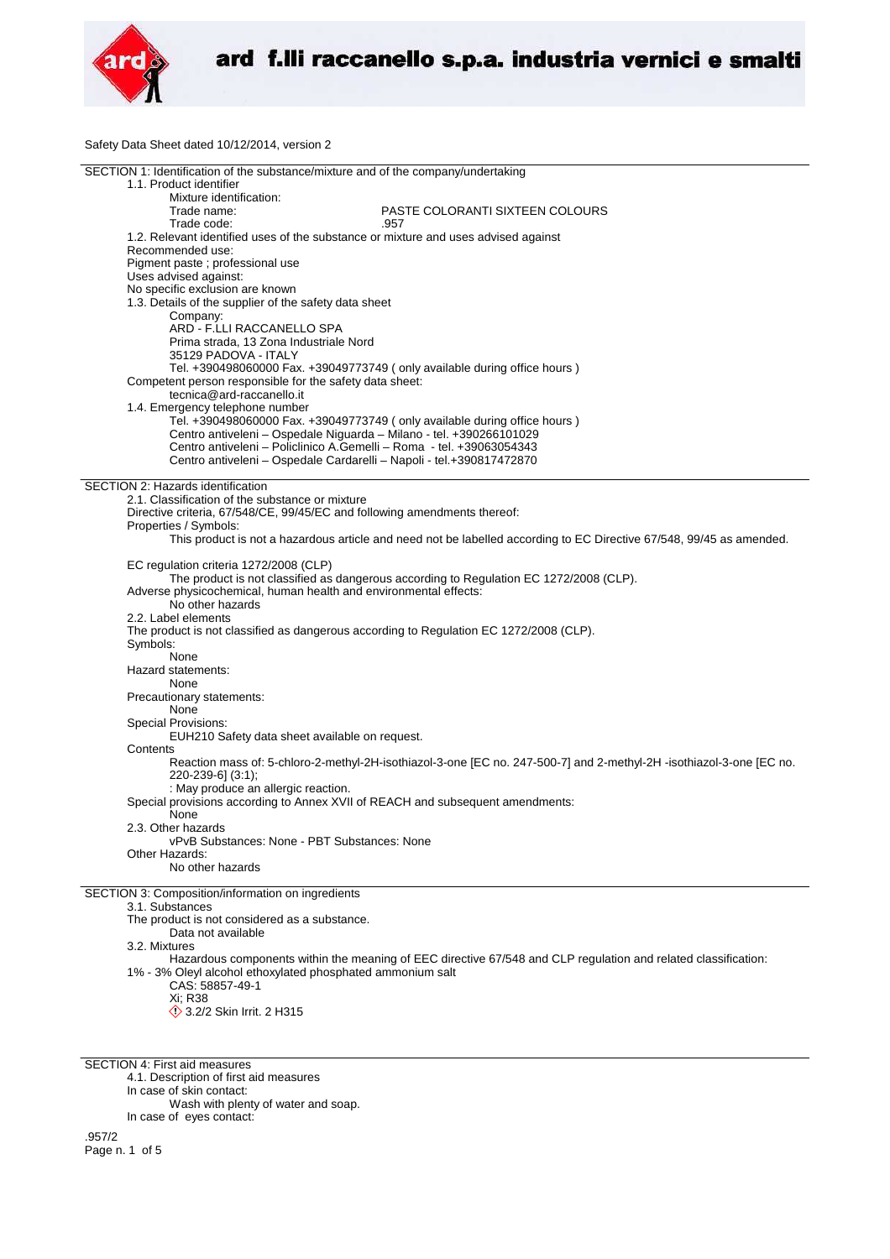

Safety Data Sheet dated 10/12/2014, version 2

| SECTION 1: Identification of the substance/mixture and of the company/undertaking      |                                                                                                                      |
|----------------------------------------------------------------------------------------|----------------------------------------------------------------------------------------------------------------------|
| 1.1. Product identifier                                                                |                                                                                                                      |
| Mixture identification:                                                                |                                                                                                                      |
| Trade name:                                                                            | PASTE COLORANTI SIXTEEN COLOURS                                                                                      |
|                                                                                        |                                                                                                                      |
| Trade code:                                                                            | .957                                                                                                                 |
| 1.2. Relevant identified uses of the substance or mixture and uses advised against     |                                                                                                                      |
| Recommended use:                                                                       |                                                                                                                      |
| Pigment paste ; professional use                                                       |                                                                                                                      |
| Uses advised against:                                                                  |                                                                                                                      |
| No specific exclusion are known                                                        |                                                                                                                      |
|                                                                                        |                                                                                                                      |
| 1.3. Details of the supplier of the safety data sheet                                  |                                                                                                                      |
| Company:                                                                               |                                                                                                                      |
| ARD - F.LLI RACCANELLO SPA                                                             |                                                                                                                      |
| Prima strada, 13 Zona Industriale Nord                                                 |                                                                                                                      |
| 35129 PADOVA - ITALY                                                                   |                                                                                                                      |
|                                                                                        |                                                                                                                      |
| Tel. +390498060000 Fax. +39049773749 (only available during office hours)              |                                                                                                                      |
| Competent person responsible for the safety data sheet:                                |                                                                                                                      |
| tecnica@ard-raccanello.it                                                              |                                                                                                                      |
| 1.4. Emergency telephone number                                                        |                                                                                                                      |
| Tel. +390498060000 Fax. +39049773749 (only available during office hours)              |                                                                                                                      |
|                                                                                        |                                                                                                                      |
| Centro antiveleni - Ospedale Niguarda - Milano - tel. +390266101029                    |                                                                                                                      |
| Centro antiveleni - Policlinico A.Gemelli - Roma - tel. +39063054343                   |                                                                                                                      |
| Centro antiveleni - Ospedale Cardarelli - Napoli - tel.+390817472870                   |                                                                                                                      |
|                                                                                        |                                                                                                                      |
| SECTION 2: Hazards identification                                                      |                                                                                                                      |
| 2.1. Classification of the substance or mixture                                        |                                                                                                                      |
|                                                                                        |                                                                                                                      |
| Directive criteria, 67/548/CE, 99/45/EC and following amendments thereof:              |                                                                                                                      |
| Properties / Symbols:                                                                  |                                                                                                                      |
|                                                                                        | This product is not a hazardous article and need not be labelled according to EC Directive 67/548, 99/45 as amended. |
|                                                                                        |                                                                                                                      |
| EC regulation criteria 1272/2008 (CLP)                                                 |                                                                                                                      |
|                                                                                        |                                                                                                                      |
|                                                                                        | The product is not classified as dangerous according to Regulation EC 1272/2008 (CLP).                               |
| Adverse physicochemical, human health and environmental effects:                       |                                                                                                                      |
| No other hazards                                                                       |                                                                                                                      |
| 2.2. Label elements                                                                    |                                                                                                                      |
| The product is not classified as dangerous according to Regulation EC 1272/2008 (CLP). |                                                                                                                      |
|                                                                                        |                                                                                                                      |
| Symbols:                                                                               |                                                                                                                      |
| None                                                                                   |                                                                                                                      |
| Hazard statements:                                                                     |                                                                                                                      |
| None                                                                                   |                                                                                                                      |
| Precautionary statements:                                                              |                                                                                                                      |
|                                                                                        |                                                                                                                      |
| None                                                                                   |                                                                                                                      |
| <b>Special Provisions:</b>                                                             |                                                                                                                      |
| EUH210 Safety data sheet available on request.                                         |                                                                                                                      |
| Contents                                                                               |                                                                                                                      |
|                                                                                        | Reaction mass of: 5-chloro-2-methyl-2H-isothiazol-3-one [EC no. 247-500-7] and 2-methyl-2H -isothiazol-3-one [EC no. |
| 220-239-6] (3:1);                                                                      |                                                                                                                      |
|                                                                                        |                                                                                                                      |
| : May produce an allergic reaction.                                                    |                                                                                                                      |
| Special provisions according to Annex XVII of REACH and subsequent amendments:         |                                                                                                                      |
| None                                                                                   |                                                                                                                      |
| 2.3. Other hazards                                                                     |                                                                                                                      |
| vPvB Substances: None - PBT Substances: None                                           |                                                                                                                      |
|                                                                                        |                                                                                                                      |
| Other Hazards:                                                                         |                                                                                                                      |
| No other hazards                                                                       |                                                                                                                      |
|                                                                                        |                                                                                                                      |
| SECTION 3: Composition/information on ingredients                                      |                                                                                                                      |
| 3.1. Substances                                                                        |                                                                                                                      |
| The product is not considered as a substance.                                          |                                                                                                                      |
|                                                                                        |                                                                                                                      |
| Data not available                                                                     |                                                                                                                      |
| 3.2. Mixtures                                                                          |                                                                                                                      |

Hazardous components within the meaning of EEC directive 67/548 and CLP regulation and related classification: 1% - 3% Oleyl alcohol ethoxylated phosphated ammonium salt

- CAS: 58857-49-1
- Xi; R38
- 3.2/2 Skin Irrit. 2 H315

SECTION 4: First aid measures

- 4.1. Description of first aid measures
- In case of skin contact:

Wash with plenty of water and soap.

In case of eyes contact: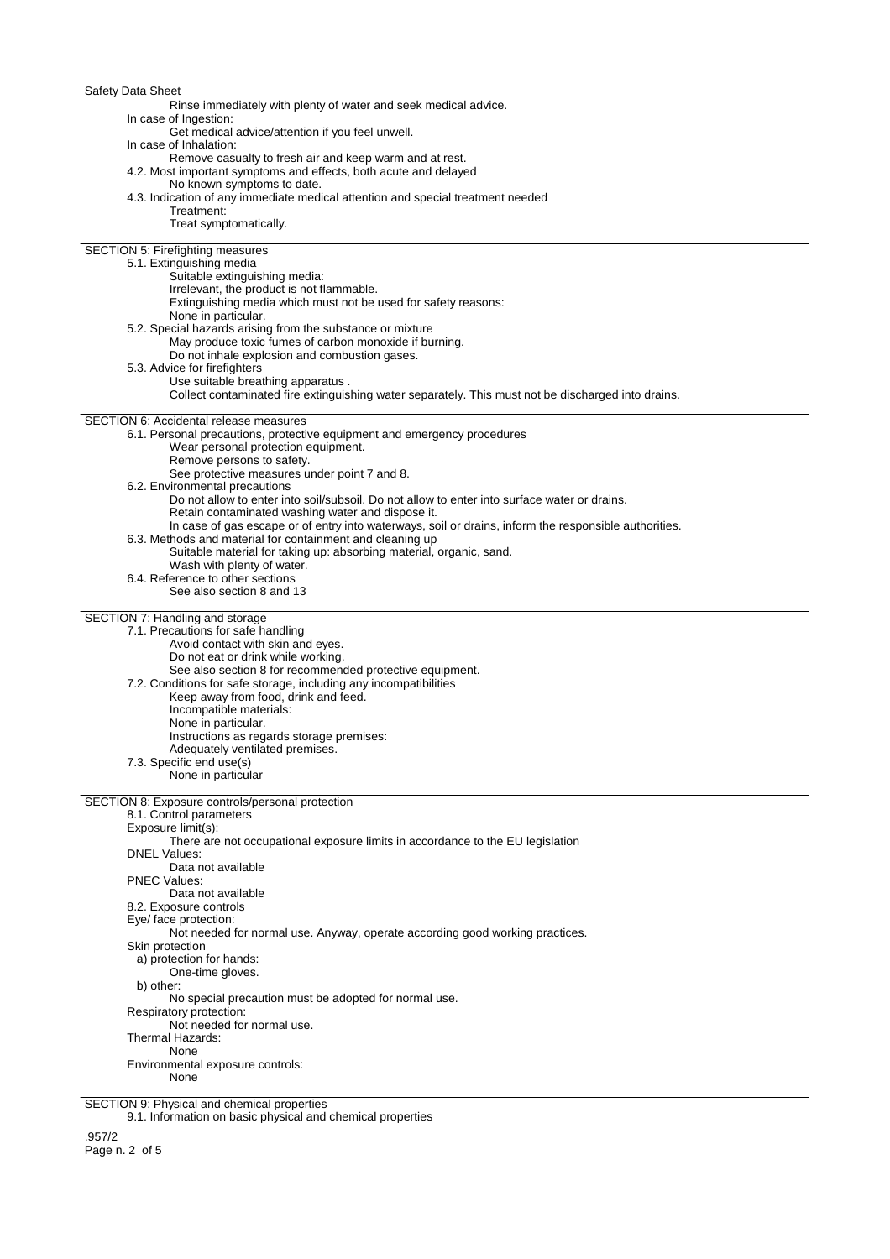Safety Data Sheet

Rinse immediately with plenty of water and seek medical advice.

In case of Ingestion:

Get medical advice/attention if you feel unwell.

In case of Inhalation:

Remove casualty to fresh air and keep warm and at rest. 4.2. Most important symptoms and effects, both acute and delayed

No known symptoms to date.

4.3. Indication of any immediate medical attention and special treatment needed Treatment:

Treat symptomatically.

SECTION 5: Firefighting measures

### 5.1. Extinguishing media

- Suitable extinguishing media:
- Irrelevant, the product is not flammable.
- Extinguishing media which must not be used for safety reasons:
- None in particular.

5.2. Special hazards arising from the substance or mixture

- May produce toxic fumes of carbon monoxide if burning.
	- Do not inhale explosion and combustion gases.
- 5.3. Advice for firefighters
	- Use suitable breathing apparatus .
		- Collect contaminated fire extinguishing water separately. This must not be discharged into drains.

### SECTION 6: Accidental release measures

6.1. Personal precautions, protective equipment and emergency procedures

- Wear personal protection equipment.
- Remove persons to safety.
- See protective measures under point 7 and 8.
- 6.2. Environmental precautions
	- Do not allow to enter into soil/subsoil. Do not allow to enter into surface water or drains.
	- Retain contaminated washing water and dispose it.
- In case of gas escape or of entry into waterways, soil or drains, inform the responsible authorities.
- 6.3. Methods and material for containment and cleaning up
	- Suitable material for taking up: absorbing material, organic, sand.
	- Wash with plenty of water.
- 6.4. Reference to other sections
- See also section 8 and 13

## SECTION 7: Handling and storage

- 7.1. Precautions for safe handling
	- Avoid contact with skin and eyes.
	- Do not eat or drink while working.
- See also section 8 for recommended protective equipment.
- 7.2. Conditions for safe storage, including any incompatibilities
	- Keep away from food, drink and feed.
		- Incompatible materials:
	- None in particular.
	- Instructions as regards storage premises:
	- Adequately ventilated premises.
- 7.3. Specific end use(s)
- 
- None in particular

SECTION 8: Exposure controls/personal protection 8.1. Control parameters Exposure limit(s): There are not occupational exposure limits in accordance to the EU legislation DNEL Values: Data not available PNEC Values: Data not available

8.2. Exposure controls

Eye/ face protection:

Not needed for normal use. Anyway, operate according good working practices.

Skin protection

a) protection for hands:

One-time gloves. b) other:

No special precaution must be adopted for normal use.

Respiratory protection:

Not needed for normal use. Thermal Hazards:

None

Environmental exposure controls:

None

SECTION 9: Physical and chemical properties

9.1. Information on basic physical and chemical properties

.957/2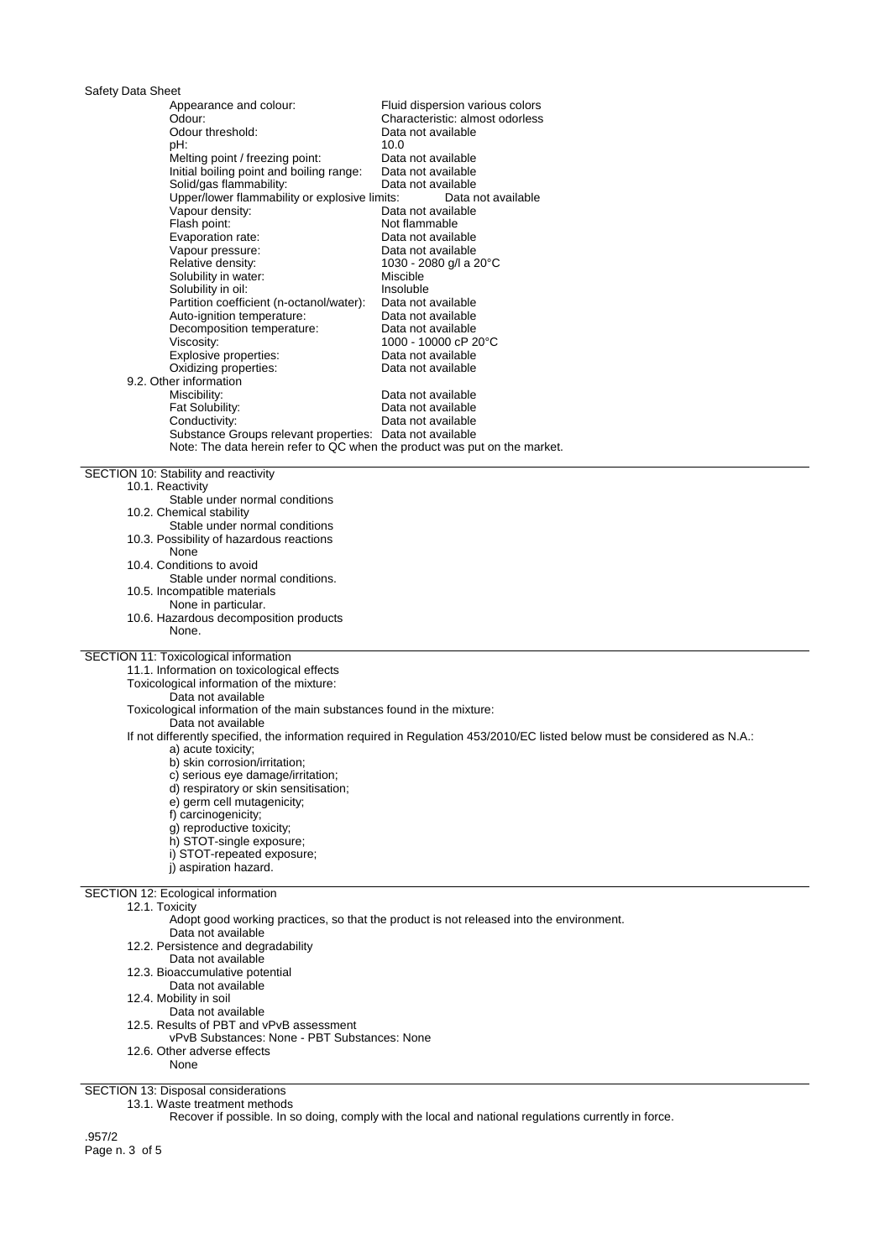| Safety Data Sheet                                                                                                                     |                                                                                                                           |  |
|---------------------------------------------------------------------------------------------------------------------------------------|---------------------------------------------------------------------------------------------------------------------------|--|
| Appearance and colour:                                                                                                                | Fluid dispersion various colors                                                                                           |  |
| Odour:                                                                                                                                | Characteristic: almost odorless                                                                                           |  |
| Odour threshold:<br>pH:                                                                                                               | Data not available<br>10.0                                                                                                |  |
| Melting point / freezing point:                                                                                                       | Data not available                                                                                                        |  |
| Initial boiling point and boiling range:                                                                                              | Data not available                                                                                                        |  |
| Solid/gas flammability:                                                                                                               | Data not available                                                                                                        |  |
| Upper/lower flammability or explosive limits:                                                                                         | Data not available                                                                                                        |  |
| Vapour density:                                                                                                                       | Data not available                                                                                                        |  |
| Flash point:                                                                                                                          | Not flammable                                                                                                             |  |
| Evaporation rate:<br>Vapour pressure:                                                                                                 | Data not available<br>Data not available                                                                                  |  |
| Relative density:                                                                                                                     | 1030 - 2080 g/l a 20°C                                                                                                    |  |
| Solubility in water:                                                                                                                  | Miscible                                                                                                                  |  |
| Solubility in oil:                                                                                                                    | Insoluble                                                                                                                 |  |
| Partition coefficient (n-octanol/water):                                                                                              | Data not available                                                                                                        |  |
| Auto-ignition temperature:                                                                                                            | Data not available                                                                                                        |  |
| Decomposition temperature:<br>Viscosity:                                                                                              | Data not available                                                                                                        |  |
| Explosive properties:                                                                                                                 | 1000 - 10000 cP 20°C<br>Data not available                                                                                |  |
| Oxidizing properties:                                                                                                                 | Data not available                                                                                                        |  |
| 9.2. Other information                                                                                                                |                                                                                                                           |  |
| Miscibility:                                                                                                                          | Data not available                                                                                                        |  |
| Fat Solubility:                                                                                                                       | Data not available                                                                                                        |  |
| Conductivity:                                                                                                                         | Data not available                                                                                                        |  |
| Substance Groups relevant properties: Data not available<br>Note: The data herein refer to QC when the product was put on the market. |                                                                                                                           |  |
|                                                                                                                                       |                                                                                                                           |  |
| SECTION 10: Stability and reactivity                                                                                                  |                                                                                                                           |  |
| 10.1. Reactivity                                                                                                                      |                                                                                                                           |  |
| Stable under normal conditions                                                                                                        |                                                                                                                           |  |
| 10.2. Chemical stability                                                                                                              |                                                                                                                           |  |
| Stable under normal conditions<br>10.3. Possibility of hazardous reactions                                                            |                                                                                                                           |  |
| None                                                                                                                                  |                                                                                                                           |  |
| 10.4. Conditions to avoid                                                                                                             |                                                                                                                           |  |
| Stable under normal conditions.                                                                                                       |                                                                                                                           |  |
| 10.5. Incompatible materials                                                                                                          |                                                                                                                           |  |
| None in particular.                                                                                                                   |                                                                                                                           |  |
| 10.6. Hazardous decomposition products                                                                                                |                                                                                                                           |  |
| None.                                                                                                                                 |                                                                                                                           |  |
| SECTION 11: Toxicological information                                                                                                 |                                                                                                                           |  |
| 11.1. Information on toxicological effects                                                                                            |                                                                                                                           |  |
| Toxicological information of the mixture:                                                                                             |                                                                                                                           |  |
| Data not available                                                                                                                    |                                                                                                                           |  |
| Toxicological information of the main substances found in the mixture:<br>Data not available                                          |                                                                                                                           |  |
|                                                                                                                                       | If not differently specified, the information required in Regulation 453/2010/EC listed below must be considered as N.A.: |  |
| a) acute toxicity;                                                                                                                    |                                                                                                                           |  |
| b) skin corrosion/irritation;                                                                                                         |                                                                                                                           |  |
| c) serious eye damage/irritation;                                                                                                     |                                                                                                                           |  |
| d) respiratory or skin sensitisation;                                                                                                 |                                                                                                                           |  |
| e) germ cell mutagenicity;<br>f) carcinogenicity;                                                                                     |                                                                                                                           |  |
| q) reproductive toxicity;                                                                                                             |                                                                                                                           |  |
| h) STOT-single exposure:                                                                                                              |                                                                                                                           |  |
| i) STOT-repeated exposure:                                                                                                            |                                                                                                                           |  |
| j) aspiration hazard.                                                                                                                 |                                                                                                                           |  |
|                                                                                                                                       |                                                                                                                           |  |
| SECTION 12: Ecological information<br>12.1. Toxicity                                                                                  |                                                                                                                           |  |
|                                                                                                                                       | Adopt good working practices, so that the product is not released into the environment.                                   |  |
| Data not available                                                                                                                    |                                                                                                                           |  |
| 12.2. Persistence and degradability                                                                                                   |                                                                                                                           |  |
| Data not available                                                                                                                    |                                                                                                                           |  |
| 12.3. Bioaccumulative potential                                                                                                       |                                                                                                                           |  |
| Data not available<br>12.4. Mobility in soil                                                                                          |                                                                                                                           |  |
| Data not available                                                                                                                    |                                                                                                                           |  |
| 12.5. Results of PBT and vPvB assessment                                                                                              |                                                                                                                           |  |
| vPvB Substances: None - PBT Substances: None                                                                                          |                                                                                                                           |  |
| 12.6. Other adverse effects                                                                                                           |                                                                                                                           |  |
| None                                                                                                                                  |                                                                                                                           |  |

# SECTION 13: Disposal considerations

13.1. Waste treatment methods

Recover if possible. In so doing, comply with the local and national regulations currently in force.

.957/2 Page n. 3 of 5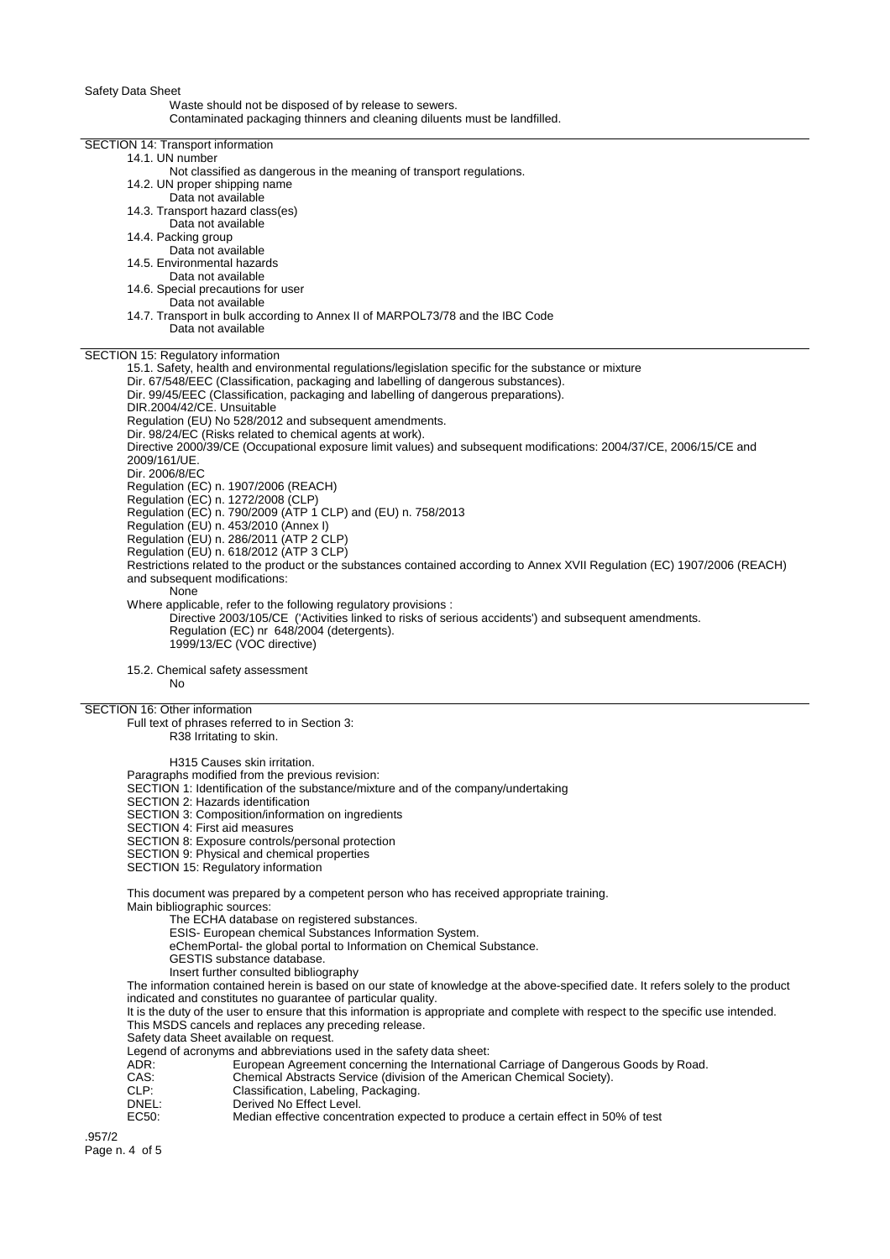Safety Data Sheet

#### Waste should not be disposed of by release to sewers.

Contaminated packaging thinners and cleaning diluents must be landfilled.

| SECTION 14: Transport information<br>14.1. UN number                                                                                                                                               |  |
|----------------------------------------------------------------------------------------------------------------------------------------------------------------------------------------------------|--|
| Not classified as dangerous in the meaning of transport regulations.<br>14.2. UN proper shipping name                                                                                              |  |
| Data not available<br>14.3. Transport hazard class(es)                                                                                                                                             |  |
| Data not available<br>14.4. Packing group                                                                                                                                                          |  |
| Data not available<br>14.5. Environmental hazards                                                                                                                                                  |  |
| Data not available                                                                                                                                                                                 |  |
| 14.6. Special precautions for user<br>Data not available                                                                                                                                           |  |
| 14.7. Transport in bulk according to Annex II of MARPOL73/78 and the IBC Code<br>Data not available                                                                                                |  |
| SECTION 15: Regulatory information<br>15.1. Safety, health and environmental regulations/legislation specific for the substance or mixture                                                         |  |
| Dir. 67/548/EEC (Classification, packaging and labelling of dangerous substances).                                                                                                                 |  |
| Dir. 99/45/EEC (Classification, packaging and labelling of dangerous preparations).<br>DIR.2004/42/CE. Unsuitable                                                                                  |  |
| Regulation (EU) No 528/2012 and subsequent amendments.<br>Dir. 98/24/EC (Risks related to chemical agents at work).                                                                                |  |
| Directive 2000/39/CE (Occupational exposure limit values) and subsequent modifications: 2004/37/CE, 2006/15/CE and<br>2009/161/UE.                                                                 |  |
| Dir. 2006/8/EC<br>Regulation (EC) n. 1907/2006 (REACH)                                                                                                                                             |  |
| Regulation (EC) n. 1272/2008 (CLP)<br>Regulation (EC) n. 790/2009 (ATP 1 CLP) and (EU) n. 758/2013                                                                                                 |  |
| Regulation (EU) n. 453/2010 (Annex I)                                                                                                                                                              |  |
| Regulation (EU) n. 286/2011 (ATP 2 CLP)<br>Regulation (EU) n. 618/2012 (ATP 3 CLP)                                                                                                                 |  |
| Restrictions related to the product or the substances contained according to Annex XVII Regulation (EC) 1907/2006 (REACH)<br>and subsequent modifications:                                         |  |
| None<br>Where applicable, refer to the following regulatory provisions :                                                                                                                           |  |
| Directive 2003/105/CE ('Activities linked to risks of serious accidents') and subsequent amendments.<br>Regulation (EC) nr 648/2004 (detergents).<br>1999/13/EC (VOC directive)                    |  |
| 15.2. Chemical safety assessment<br>No                                                                                                                                                             |  |
| SECTION 16: Other information                                                                                                                                                                      |  |
| Full text of phrases referred to in Section 3:<br>R38 Irritating to skin.                                                                                                                          |  |
| H315 Causes skin irritation.<br>Paragraphs modified from the previous revision:                                                                                                                    |  |
| SECTION 1: Identification of the substance/mixture and of the company/undertaking                                                                                                                  |  |
| SECTION 2: Hazards identification<br>SECTION 3: Composition/information on ingredients                                                                                                             |  |
| SECTION 4: First aid measures<br>SECTION 8: Exposure controls/personal protection                                                                                                                  |  |
| SECTION 9: Physical and chemical properties<br><b>SECTION 15: Regulatory information</b>                                                                                                           |  |
| This document was prepared by a competent person who has received appropriate training.                                                                                                            |  |
| Main bibliographic sources:<br>The ECHA database on registered substances.                                                                                                                         |  |
| ESIS- European chemical Substances Information System.<br>eChemPortal- the global portal to Information on Chemical Substance.                                                                     |  |
| GESTIS substance database.<br>Insert further consulted bibliography                                                                                                                                |  |
| The information contained herein is based on our state of knowledge at the above-specified date. It refers solely to the product                                                                   |  |
| indicated and constitutes no guarantee of particular quality.<br>It is the duty of the user to ensure that this information is appropriate and complete with respect to the specific use intended. |  |
| This MSDS cancels and replaces any preceding release.<br>Safety data Sheet available on request.                                                                                                   |  |
| Legend of acronyms and abbreviations used in the safety data sheet:<br>ADR:<br>European Agreement concerning the International Carriage of Dangerous Goods by Road.                                |  |
| CAS:<br>Chemical Abstracts Service (division of the American Chemical Society).<br>CLP:<br>Classification, Labeling, Packaging.                                                                    |  |
| DNEL:<br>Derived No Effect Level.<br>EC50:<br>Median effective concentration expected to produce a certain effect in 50% of test                                                                   |  |
|                                                                                                                                                                                                    |  |

.957/2 Page n. 4 of 5